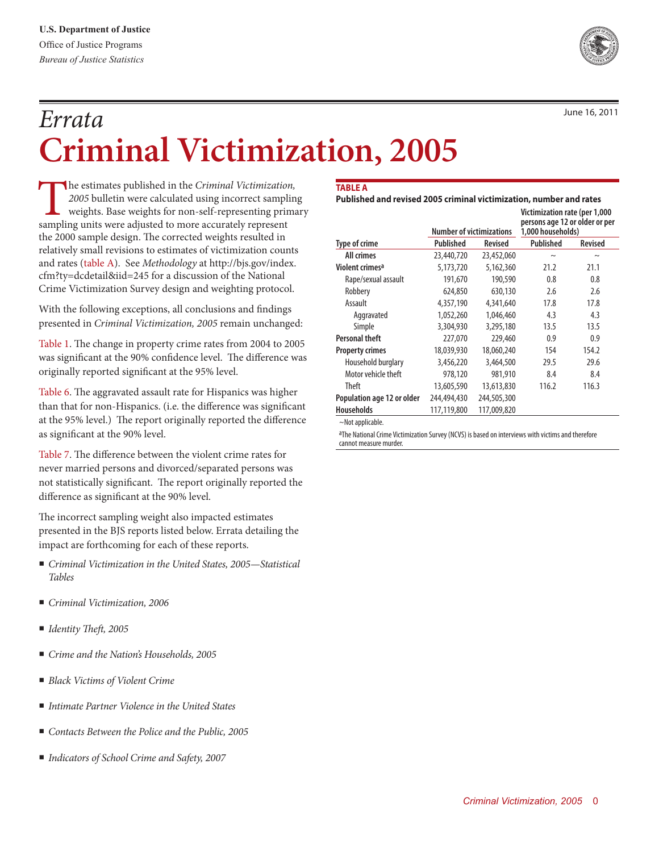

June 16, 2011

# *Errata* **Criminal Victimization, 2005**

The estimates published in the *Criminal Victimization, 2005* bulletin were calculated using incorrect sampling weights. Base weights for non-self-representing primary sampling units were adjusted to more accurately represent the 2000 sample design. The corrected weights resulted in relatively small revisions to estimates of victimization counts and rates (table A). See *Methodology* at http://bjs.gov/index. cfm?ty=dcdetail&iid=245 for a discussion of the National Crime Victimization Survey design and weighting protocol.

With the following exceptions, all conclusions and findings presented in *Criminal Victimization, 2005* remain unchanged:

Table 1. The change in property crime rates from 2004 to 2005 was significant at the 90% confidence level. The difference was originally reported significant at the 95% level.

Table 6. The aggravated assault rate for Hispanics was higher than that for non-Hispanics. (i.e. the difference was significant at the 95% level.) The report originally reported the difference as significant at the 90% level.

Table 7. The difference between the violent crime rates for never married persons and divorced/separated persons was not statistically significant. The report originally reported the difference as significant at the 90% level.

The incorrect sampling weight also impacted estimates presented in the BJS reports listed below. Errata detailing the impact are forthcoming for each of these reports.

- *Criminal Victimization in the United States, 2005—Statistical Tables*
- *Criminal Victimization, 2006*
- *Identity Theft, 2005*
- *Crime and the Nation's Households, 2005*
- *Black Victims of Violent Crime*
- *Intimate Partner Violence in the United States*
- *Contacts Between the Police and the Public, 2005*
- *Indicators of School Crime and Safety, 2007*

#### **TABLE A**

**Published and revised 2005 criminal victimization, number and rates**

|                             | <b>Number of victimizations</b> | Victimization rate (per 1,000<br>persons age 12 or older or per<br>1,000 households) |           |                |  |
|-----------------------------|---------------------------------|--------------------------------------------------------------------------------------|-----------|----------------|--|
| Type of crime               | <b>Published</b>                | Revised                                                                              | Published | <b>Revised</b> |  |
| <b>All crimes</b>           | 23,440,720                      | 23,452,060                                                                           | $\sim$    | $\sim$         |  |
| Violent crimes <sup>a</sup> | 5,173,720                       | 5,162,360                                                                            | 21.2      | 21.1           |  |
| Rape/sexual assault         | 191,670                         | 190,590                                                                              | 0.8       | 0.8            |  |
| Robbery                     | 624,850                         | 630,130                                                                              | 2.6       | 2.6            |  |
| Assault                     | 4,357,190                       | 4,341,640                                                                            | 17.8      | 17.8           |  |
| Aggravated                  | 1.052.260                       | 1,046,460                                                                            | 4.3       | 4.3            |  |
| Simple                      | 3,304,930                       | 3,295,180                                                                            | 13.5      | 13.5           |  |
| <b>Personal theft</b>       | 227,070                         | 229,460                                                                              | 0.9       | 0.9            |  |
| <b>Property crimes</b>      | 18,039,930                      | 18,060,240                                                                           | 154       | 154.2          |  |
| Household burglary          | 3,456,220                       | 3,464,500                                                                            | 29.5      | 29.6           |  |
| Motor vehicle theft         | 978,120                         | 981,910                                                                              | 8.4       | 8.4            |  |
| Theft                       | 13,605,590                      | 13,613,830                                                                           | 116.2     | 116.3          |  |
| Population age 12 or older  | 244,494,430                     | 244,505,300                                                                          |           |                |  |
| <b>Households</b>           | 117,119,800                     | 117,009,820                                                                          |           |                |  |
|                             |                                 |                                                                                      |           |                |  |

~Not applicable.

aThe National Crime Victimization Survey (NCVS) is based on interviews with victims and therefore cannot measure murder.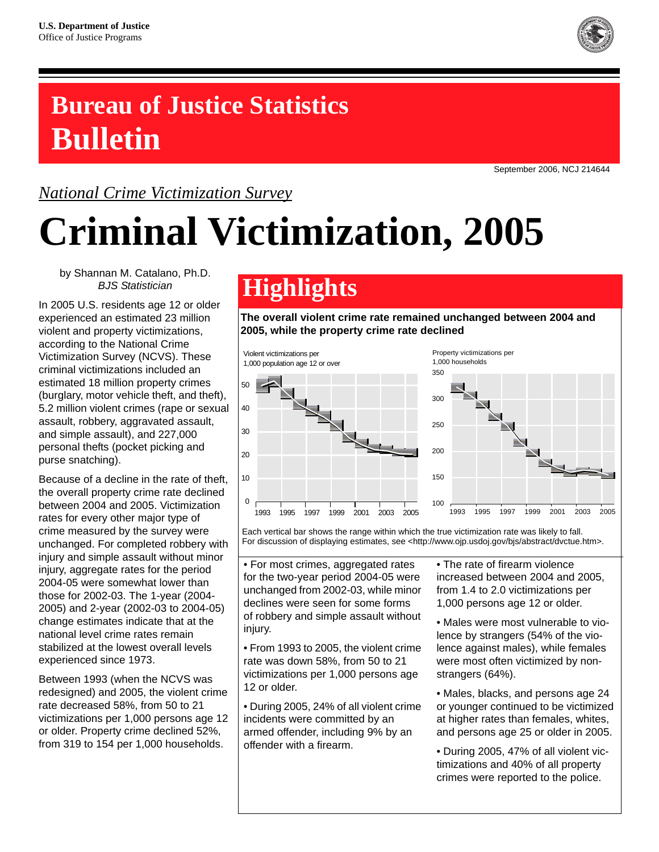

# **Bureau of Justice Statistics Bulletin**

*National Crime Victimization Survey*

# **Criminal Victimization, 2005**

by Shannan M. Catalano, Ph.D. *BJS Statistician*

In 2005 U.S. residents age 12 or older experienced an estimated 23 million violent and property victimizations, according to the National Crime Victimization Survey (NCVS). These criminal victimizations included an estimated 18 million property crimes (burglary, motor vehicle theft, and theft), 5.2 million violent crimes (rape or sexual assault, robbery, aggravated assault, and simple assault), and 227,000 personal thefts (pocket picking and purse snatching).

Because of a decline in the rate of theft, the overall property crime rate declined between 2004 and 2005. Victimization rates for every other major type of crime measured by the survey were unchanged. For completed robbery with injury and simple assault without minor injury, aggregate rates for the period 2004-05 were somewhat lower than those for 2002-03. The 1-year (2004- 2005) and 2-year (2002-03 to 2004-05) change estimates indicate that at the national level crime rates remain stabilized at the lowest overall levels experienced since 1973.

Between 1993 (when the NCVS was redesigned) and 2005, the violent crime rate decreased 58%, from 50 to 21 victimizations per 1,000 persons age 12 or older. Property crime declined 52%, from 319 to 154 per 1,000 households.

# **Highlights**

**The overall violent crime rate remained unchanged between 2004 and 2005, while the property crime rate declined**





Each vertical bar shows the range within which the true victimization rate was likely to fall. For discussion of displaying estimates, see <http://www.ojp.usdoj.gov/bjs/abstract/dvctue.htm>.

• For most crimes, aggregated rates for the two-year period 2004-05 were unchanged from 2002-03, while minor declines were seen for some forms of robbery and simple assault without injury.

• From 1993 to 2005, the violent crime rate was down 58%, from 50 to 21 victimizations per 1,000 persons age 12 or older.

• During 2005, 24% of all violent crime incidents were committed by an armed offender, including 9% by an offender with a firearm.

• The rate of firearm violence increased between 2004 and 2005, from 1.4 to 2.0 victimizations per 1,000 persons age 12 or older.

• Males were most vulnerable to violence by strangers (54% of the violence against males), while females were most often victimized by nonstrangers (64%).

• Males, blacks, and persons age 24 or younger continued to be victimized at higher rates than females, whites, and persons age 25 or older in 2005.

• During 2005, 47% of all violent victimizations and 40% of all property crimes were reported to the police.

September 2006, NCJ 214644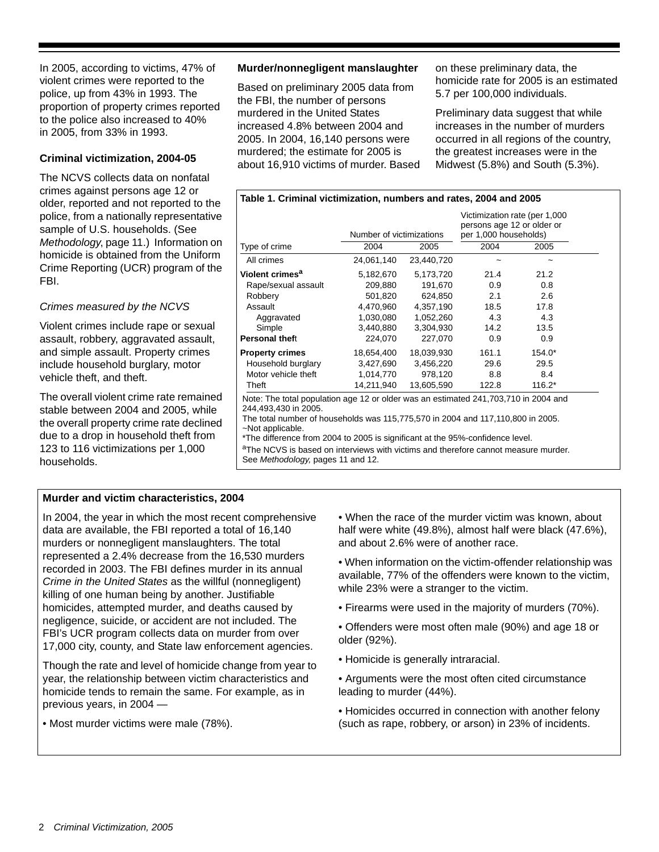In 2005, according to victims, 47% of violent crimes were reported to the police, up from 43% in 1993. The proportion of property crimes reported to the police also increased to 40% in 2005, from 33% in 1993.

# **Criminal victimization, 2004-05**

The NCVS collects data on nonfatal crimes against persons age 12 or older, reported and not reported to the police, from a nationally representative sample of U.S. households. (See *Methodology*, page 11.) Information on homicide is obtained from the Uniform Crime Reporting (UCR) program of the FBI.

# *Crimes measured by the NCVS*

Violent crimes include rape or sexual assault, robbery, aggravated assault, and simple assault. Property crimes include household burglary, motor vehicle theft, and theft.

The overall violent crime rate remained stable between 2004 and 2005, while the overall property crime rate declined due to a drop in household theft from 123 to 116 victimizations per 1,000 households.

#### **Murder/nonnegligent manslaughter**

Based on preliminary 2005 data from the FBI, the number of persons murdered in the United States increased 4.8% between 2004 and 2005. In 2004, 16,140 persons were murdered; the estimate for 2005 is about 16,910 victims of murder. Based

on these preliminary data, the homicide rate for 2005 is an estimated 5.7 per 100,000 individuals.

Preliminary data suggest that while increases in the number of murders occurred in all regions of the country, the greatest increases were in the Midwest (5.8%) and South (5.3%).

|                             | Number of victimizations |            | Victimization rate (per 1,000<br>persons age 12 or older or<br>per 1,000 households) |          |  |  |
|-----------------------------|--------------------------|------------|--------------------------------------------------------------------------------------|----------|--|--|
| Type of crime               | 2004                     | 2005       | 2004                                                                                 | 2005     |  |  |
| All crimes                  | 24,061,140               | 23,440,720 |                                                                                      |          |  |  |
| Violent crimes <sup>a</sup> | 5,182,670                | 5,173,720  | 21.4                                                                                 | 21.2     |  |  |
| Rape/sexual assault         | 209,880                  | 191,670    | 0.9                                                                                  | 0.8      |  |  |
| Robbery                     | 501,820                  | 624,850    | 2.1                                                                                  | 2.6      |  |  |
| Assault                     | 4,470,960                | 4,357,190  | 18.5                                                                                 | 17.8     |  |  |
| Aggravated                  | 1,030,080                | 1,052,260  | 4.3                                                                                  | 4.3      |  |  |
| Simple                      | 3,440,880                | 3,304,930  | 14.2                                                                                 | 13.5     |  |  |
| <b>Personal theft</b>       | 224,070                  | 227,070    | 0.9                                                                                  | 0.9      |  |  |
| <b>Property crimes</b>      | 18,654,400               | 18,039,930 | 161.1                                                                                | 154.0*   |  |  |
| Household burglary          | 3,427,690                | 3,456,220  | 29.6                                                                                 | 29.5     |  |  |
| Motor vehicle theft         | 1,014,770                | 978,120    | 8.8                                                                                  | 8.4      |  |  |
| Theft                       | 14,211,940               | 13,605,590 | 122.8                                                                                | $116.2*$ |  |  |

he total number of households was 115,775,570 in 2004 and 117,110,800 in 2005. ~Not applicable.

\*The difference from 2004 to 2005 is significant at the 95%-confidence level.

<sup>a</sup>The NCVS is based on interviews with victims and therefore cannot measure murder. See *Methodology,* pages 11 and 12.

# **Murder and victim characteristics, 2004**

In 2004, the year in which the most recent comprehensive data are available, the FBI reported a total of 16,140 murders or nonnegligent manslaughters. The total represented a 2.4% decrease from the 16,530 murders recorded in 2003. The FBI defines murder in its annual *Crime in the United States* as the willful (nonnegligent) killing of one human being by another. Justifiable homicides, attempted murder, and deaths caused by negligence, suicide, or accident are not included. The FBI's UCR program collects data on murder from over 17,000 city, county, and State law enforcement agencies.

Though the rate and level of homicide change from year to year, the relationship between victim characteristics and homicide tends to remain the same. For example, as in previous years, in 2004 —

• Most murder victims were male (78%).

• When the race of the murder victim was known, about half were white (49.8%), almost half were black (47.6%), and about 2.6% were of another race.

• When information on the victim-offender relationship was available, 77% of the offenders were known to the victim, while 23% were a stranger to the victim.

- Firearms were used in the majority of murders (70%).
- Offenders were most often male (90%) and age 18 or older (92%).
- Homicide is generally intraracial.
- Arguments were the most often cited circumstance leading to murder (44%).
- Homicides occurred in connection with another felony (such as rape, robbery, or arson) in 23% of incidents.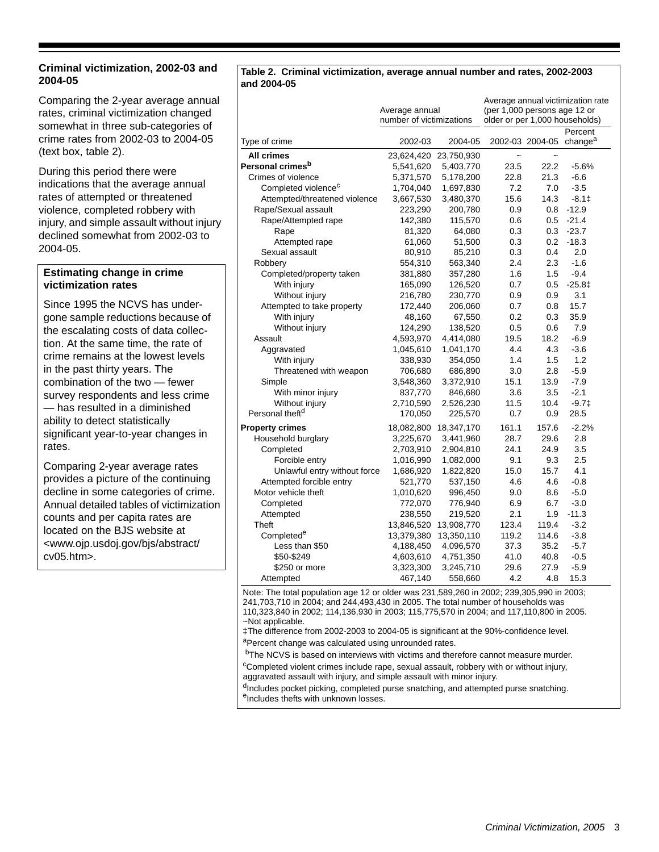# **Criminal victimization, 2002-03 and 2004-05**

Comparing the 2-year average annual rates, criminal victimization changed somewhat in three sub-categories of crime rates from 2002-03 to 2004-05 (text box, table 2).

During this period there were indications that the average annual rates of attempted or threatened violence, completed robbery with injury, and simple assault without injury declined somewhat from 2002-03 to 2004-05.

# **Estimating change in crime victimization rates**

Since 1995 the NCVS has undergone sample reductions because of the escalating costs of data collection. At the same time, the rate of crime remains at the lowest levels in the past thirty years. The combination of the two — fewer survey respondents and less crime — has resulted in a diminished ability to detect statistically significant year-to-year changes in rates.

Comparing 2-year average rates provides a picture of the continuing decline in some categories of crime. Annual detailed tables of victimization counts and per capita rates are located on the BJS website at <www.ojp.usdoj.gov/bjs/abstract/ cv05.htm>.

#### **Table 2. Criminal victimization, average annual number and rates, 2002-2003 and 2004-05**

|                                 |                          |            | Average annual victimization rate                              |                 |                     |  |  |
|---------------------------------|--------------------------|------------|----------------------------------------------------------------|-----------------|---------------------|--|--|
|                                 | Average annual           |            | (per 1,000 persons age 12 or<br>older or per 1,000 households) |                 |                     |  |  |
|                                 | number of victimizations |            |                                                                |                 |                     |  |  |
|                                 |                          |            |                                                                |                 | Percent             |  |  |
| Type of crime                   | 2002-03                  | 2004-05    |                                                                | 2002-03 2004-05 | change <sup>a</sup> |  |  |
| <b>All crimes</b>               | 23,624,420               | 23,750,930 |                                                                |                 |                     |  |  |
| Personal crimes <sup>b</sup>    | 5,541,620                | 5,403,770  | 23.5                                                           | 22.2            | $-5.6%$             |  |  |
| Crimes of violence              | 5,371,570                | 5,178,200  | 22.8                                                           | 21.3            | $-6.6$              |  |  |
| Completed violence <sup>c</sup> | 1,704,040                | 1,697,830  | 7.2                                                            | 7.0             | $-3.5$              |  |  |
| Attempted/threatened violence   | 3,667,530                | 3,480,370  | 15.6                                                           | 14.3            | $-8.11$             |  |  |
| Rape/Sexual assault             | 223,290                  | 200,780    | 0.9                                                            | 0.8             | $-12.9$             |  |  |
| Rape/Attempted rape             | 142,380                  | 115,570    | 0.6                                                            | 0.5             | $-21.4$             |  |  |
| Rape                            | 81,320                   | 64,080     | 0.3                                                            | 0.3             | $-23.7$             |  |  |
| Attempted rape                  | 61,060                   | 51,500     | 0.3                                                            | 0.2             | $-18.3$             |  |  |
| Sexual assault                  | 80,910                   | 85,210     | 0.3                                                            | 0.4             | 2.0                 |  |  |
| Robbery                         | 554,310                  | 563,340    | 2.4                                                            | 2.3             | $-1.6$              |  |  |
| Completed/property taken        | 381,880                  | 357,280    | 1.6                                                            | 1.5             | $-9.4$              |  |  |
| With injury                     | 165,090                  | 126,520    | 0.7                                                            | 0.5             | $-25.8+$            |  |  |
| Without injury                  | 216,780                  | 230,770    | 0.9                                                            | 0.9             | 3.1                 |  |  |
| Attempted to take property      | 172,440                  | 206,060    | 0.7                                                            | 0.8             | 15.7                |  |  |
| With injury                     | 48,160                   | 67,550     | 0.2                                                            | 0.3             | 35.9                |  |  |
| Without injury                  | 124,290                  | 138,520    | 0.5                                                            | 0.6             | 7.9                 |  |  |
| Assault                         | 4,593,970                | 4,414,080  | 19.5                                                           | 18.2            | $-6.9$              |  |  |
| Aggravated                      | 1,045,610                | 1,041,170  | 4.4                                                            | 4.3             | $-3.6$              |  |  |
| With injury                     | 338,930                  | 354,050    | 1.4                                                            | 1.5             | 1.2                 |  |  |
| Threatened with weapon          | 706,680                  | 686,890    | 3.0                                                            | 2.8             | $-5.9$              |  |  |
| Simple                          | 3,548,360                | 3,372,910  | 15.1                                                           | 13.9            | $-7.9$              |  |  |
| With minor injury               | 837,770                  | 846,680    | 3.6                                                            | 3.5             | $-2.1$              |  |  |
| Without injury                  | 2,710,590                | 2,526,230  | 11.5                                                           | 10.4            | $-9.7+$             |  |  |
| Personal theft <sup>d</sup>     | 170,050                  | 225,570    | 0.7                                                            | 0.9             | 28.5                |  |  |
| <b>Property crimes</b>          | 18,082,800               | 18,347,170 | 161.1                                                          | 157.6           | $-2.2%$             |  |  |
| Household burglary              | 3,225,670                | 3,441,960  | 28.7                                                           | 29.6            | 2.8                 |  |  |
| Completed                       | 2,703,910                | 2,904,810  | 24.1                                                           | 24.9            | 3.5                 |  |  |
| Forcible entry                  | 1,016,990                | 1,082,000  | 9.1                                                            | 9.3             | 2.5                 |  |  |
| Unlawful entry without force    | 1,686,920                | 1,822,820  | 15.0                                                           | 15.7            | 4.1                 |  |  |
| Attempted forcible entry        | 521,770                  | 537,150    | 4.6                                                            | 4.6             | $-0.8$              |  |  |
| Motor vehicle theft             | 1,010,620                | 996,450    | 9.0                                                            | 8.6             | $-5.0$              |  |  |
| Completed                       | 772,070                  | 776,940    | 6.9                                                            | 6.7             | $-3.0$              |  |  |
| Attempted                       | 238,550                  | 219,520    | 2.1                                                            | 1.9             | $-11.3$             |  |  |
| Theft                           | 13,846,520               | 13,908,770 | 123.4                                                          | 119.4           | $-3.2$              |  |  |
| Completed <sup>e</sup>          | 13,379,380               | 13,350,110 | 119.2                                                          | 114.6           | $-3.8$              |  |  |
| Less than \$50                  | 4,188,450                | 4,096,570  | 37.3                                                           | 35.2            | $-5.7$              |  |  |
| \$50-\$249                      | 4,603,610                | 4,751,350  | 41.0                                                           | 40.8            | $-0.5$              |  |  |
| \$250 or more                   | 3,323,300                | 3,245,710  | 29.6                                                           | 27.9            | $-5.9$              |  |  |
| Attempted                       | 467,140                  | 558,660    | 4.2                                                            | 4.8             | 15.3                |  |  |
|                                 |                          |            |                                                                |                 |                     |  |  |

Note: The total population age 12 or older was 231,589,260 in 2002; 239,305,990 in 2003; 241,703,710 in 2004; and 244,493,430 in 2005. The total number of households was 110,323,840 in 2002; 114,136,930 in 2003; 115,775,570 in 2004; and 117,110,800 in 2005. ~Not applicable.

‡The difference from 2002-2003 to 2004-05 is significant at the 90%-confidence level.

aPercent change was calculated using unrounded rates.

<sup>b</sup>The NCVS is based on interviews with victims and therefore cannot measure murder.

<sup>c</sup>Completed violent crimes include rape, sexual assault, robbery with or without injury,

aggravated assault with injury, and simple assault with minor injury.

<sup>d</sup>Includes pocket picking, completed purse snatching, and attempted purse snatching.<br><sup>e</sup>Includes thefts with unknown losses.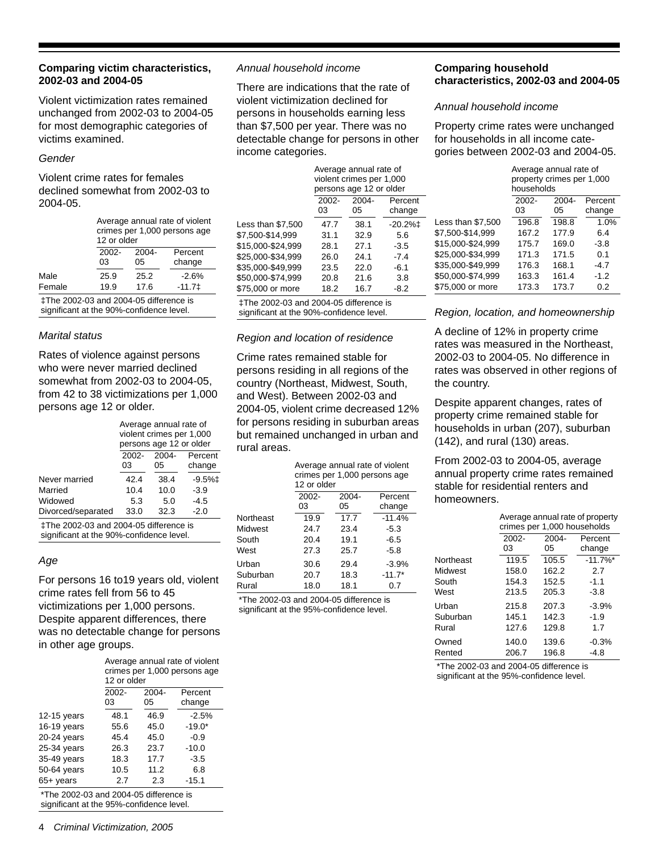# **Comparing victim characteristics, 2002-03 and 2004-05**

Violent victimization rates remained unchanged from 2002-03 to 2004-05 for most demographic categories of victims examined.

# *Gender*

Violent crime rates for females declined somewhat from 2002-03 to 2004-05.

|        | Average annual rate of violent<br>crimes per 1,000 persons age<br>12 or older |          |          |  |  |  |  |  |
|--------|-------------------------------------------------------------------------------|----------|----------|--|--|--|--|--|
|        | $2002 -$                                                                      | $2004 -$ | Percent  |  |  |  |  |  |
|        | 03                                                                            | 05       | change   |  |  |  |  |  |
| Male   | 25.9                                                                          | 25.2     | $-2.6%$  |  |  |  |  |  |
| Female | 19.9                                                                          | 17.6     | $-11.71$ |  |  |  |  |  |
|        |                                                                               |          |          |  |  |  |  |  |

‡The 2002-03 and 2004-05 difference is significant at the 90%-confidence level.

# *Marital status*

Rates of violence against persons who were never married declined somewhat from 2002-03 to 2004-05, from 42 to 38 victimizations per 1,000 persons age 12 or older.

|                    | Average annual rate of<br>violent crimes per 1,000<br>persons age 12 or older |       |           |  |  |  |  |  |
|--------------------|-------------------------------------------------------------------------------|-------|-----------|--|--|--|--|--|
|                    | $2002 -$                                                                      | 2004- | Percent   |  |  |  |  |  |
|                    | 03                                                                            | 05    | change    |  |  |  |  |  |
| Never married      | 42.4                                                                          | 38.4  | $-9.5%$ ± |  |  |  |  |  |
| Married            | 10.4                                                                          | 10.0  | $-3.9$    |  |  |  |  |  |
| Widowed            | 5.3                                                                           | 5.0   | $-4.5$    |  |  |  |  |  |
| Divorced/separated | 33.0                                                                          | 32.3  | $-2.0$    |  |  |  |  |  |
|                    |                                                                               |       |           |  |  |  |  |  |

‡The 2002-03 and 2004-05 difference is significant at the 90%-confidence level.

# *Age*

For persons 16 to19 years old, violent crime rates fell from 56 to 45 victimizations per 1,000 persons. Despite apparent differences, there was no detectable change for persons in other age groups.

|             | 12 or older |       | Average annual rate of violent<br>crimes per 1,000 persons age |
|-------------|-------------|-------|----------------------------------------------------------------|
|             | 2002-       | 2004- | Percent                                                        |
|             | 03          | 05    | change                                                         |
| 12-15 years | 48.1        | 46.9  | $-2.5%$                                                        |
| 16-19 years | 55.6        | 45.0  | $-19.0*$                                                       |
| 20-24 years | 45.4        | 45.0  | $-0.9$                                                         |
| 25-34 years | 26.3        | 23.7  | $-10.0$                                                        |
| 35-49 vears | 18.3        | 17.7  | $-3.5$                                                         |
| 50-64 years | 10.5        | 11.2  | 6.8                                                            |
| 65+ vears   | 2.7         | 2.3   | $-15.1$                                                        |
|             |             |       |                                                                |

\*The 2002-03 and 2004-05 difference is significant at the 95%-confidence level.

#### *Annual household income*

There are indications that the rate of violent victimization declined for persons in households earning less than \$7,500 per year. There was no detectable change for persons in other income categories.

|                                        | Average annual rate of<br>violent crimes per 1,000<br>persons age 12 or older<br>$2002 -$ |                   |             |  |  |  |  |
|----------------------------------------|-------------------------------------------------------------------------------------------|-------------------|-------------|--|--|--|--|
|                                        | 2004-<br>05                                                                               | Percent<br>change |             |  |  |  |  |
| Less than \$7,500                      | 47.7                                                                                      | 38.1              | $-20.2\%$ ‡ |  |  |  |  |
| \$7,500-\$14,999                       | 31.1                                                                                      | 32.9              | 5.6         |  |  |  |  |
| \$15.000-\$24.999                      | 28.1                                                                                      | 27.1              | $-3.5$      |  |  |  |  |
| \$25.000-\$34.999                      | 26.0                                                                                      | 24.1              | $-7.4$      |  |  |  |  |
| \$35,000-\$49.999                      | 23.5                                                                                      | 22.0              | $-6.1$      |  |  |  |  |
| \$50,000-\$74,999                      | 20.8                                                                                      | 21.6              | 3.8         |  |  |  |  |
| \$75,000 or more                       | 18.2                                                                                      | 16.7              | -8.2        |  |  |  |  |
| tThe 2002-03 and 2004-05 difference is |                                                                                           |                   |             |  |  |  |  |

‡The 2002-03 and 2004-05 difference is significant at the 90%-confidence level.

# *Region and location of residence*

Crime rates remained stable for persons residing in all regions of the country (Northeast, Midwest, South, and West). Between 2002-03 and 2004-05, violent crime decreased 12% for persons residing in suburban areas but remained unchanged in urban and rural areas.

|           | Average annual rate of violent<br>crimes per 1,000 persons age<br>12 or older |       |          |  |  |  |  |  |  |
|-----------|-------------------------------------------------------------------------------|-------|----------|--|--|--|--|--|--|
|           | 2002-                                                                         | 2004- | Percent  |  |  |  |  |  |  |
|           | 03                                                                            | 05    | change   |  |  |  |  |  |  |
| Northeast | 19.9 <sub>1</sub>                                                             | 17.7  | $-11.4%$ |  |  |  |  |  |  |
| Midwest   | 24.7                                                                          | 23.4  | $-5.3$   |  |  |  |  |  |  |
| South     | 20.4                                                                          | 19.1  | $-6.5$   |  |  |  |  |  |  |
| West      | 27.3                                                                          | 25.7  | $-5.8$   |  |  |  |  |  |  |
| Urban     | 30.6                                                                          | 29.4  | $-3.9%$  |  |  |  |  |  |  |
| Suburban  | 20.7                                                                          | 18.3  | $-11.7*$ |  |  |  |  |  |  |
| Rural     | 18.0                                                                          | 18.1  | 0.7      |  |  |  |  |  |  |

\*The 2002-03 and 2004-05 difference is significant at the 95%-confidence level.

#### **Comparing household characteristics, 2002-03 and 2004-05**

#### *Annual household income*

Property crime rates were unchanged for households in all income categories between 2002-03 and 2004-05.

| 2002-<br>2004-<br>Percent<br>03<br>change<br>05 |  |
|-------------------------------------------------|--|
|                                                 |  |
| 198.8<br>Less than \$7,500<br>196.8<br>1.0%     |  |
| \$7,500-\$14,999<br>167.2<br>177.9<br>6.4       |  |
| \$15.000-\$24.999<br>175.7<br>169.0<br>$-3.8$   |  |
| \$25,000-\$34,999<br>171.5<br>171.3<br>0.1      |  |
| \$35.000-\$49.999<br>176.3<br>168.1<br>$-4.7$   |  |
| \$50.000-\$74.999<br>163.3<br>161.4<br>$-1.2$   |  |
| \$75,000 or more<br>173.7<br>173.3<br>0.2       |  |

# *Region, location, and homeownership*

A decline of 12% in property crime rates was measured in the Northeast, 2002-03 to 2004-05. No difference in rates was observed in other regions of the country.

Despite apparent changes, rates of property crime remained stable for households in urban (207), suburban (142), and rural (130) areas.

From 2002-03 to 2004-05, average annual property crime rates remained stable for residential renters and homeowners.

|           |                | Average annual rate of property<br>crimes per 1,000 households |                        |  |  |  |  |  |  |
|-----------|----------------|----------------------------------------------------------------|------------------------|--|--|--|--|--|--|
|           | $2002 -$<br>03 | 2004-<br>05                                                    | Percent<br>change      |  |  |  |  |  |  |
| Northeast | 119.5          | 105.5                                                          | $-11.7\%$ <sup>*</sup> |  |  |  |  |  |  |
| Midwest   | 158.0          | 162.2                                                          | 2.7                    |  |  |  |  |  |  |
| South     | 154.3          | 152.5                                                          | $-1.1$                 |  |  |  |  |  |  |
| West      | 213.5          | 205.3                                                          | $-3.8$                 |  |  |  |  |  |  |
| Urban     | 215.8          | 207.3                                                          | $-3.9%$                |  |  |  |  |  |  |
| Suburban  | 145.1          | 142.3                                                          | $-1.9$                 |  |  |  |  |  |  |
| Rural     | 127.6          | 129.8                                                          | 1.7                    |  |  |  |  |  |  |
| Owned     | 140.0          | 139.6                                                          | $-0.3%$                |  |  |  |  |  |  |
| Rented    | 206.7          | 196.8                                                          | -4.8                   |  |  |  |  |  |  |

\*The 2002-03 and 2004-05 difference is significant at the 95%-confidence level.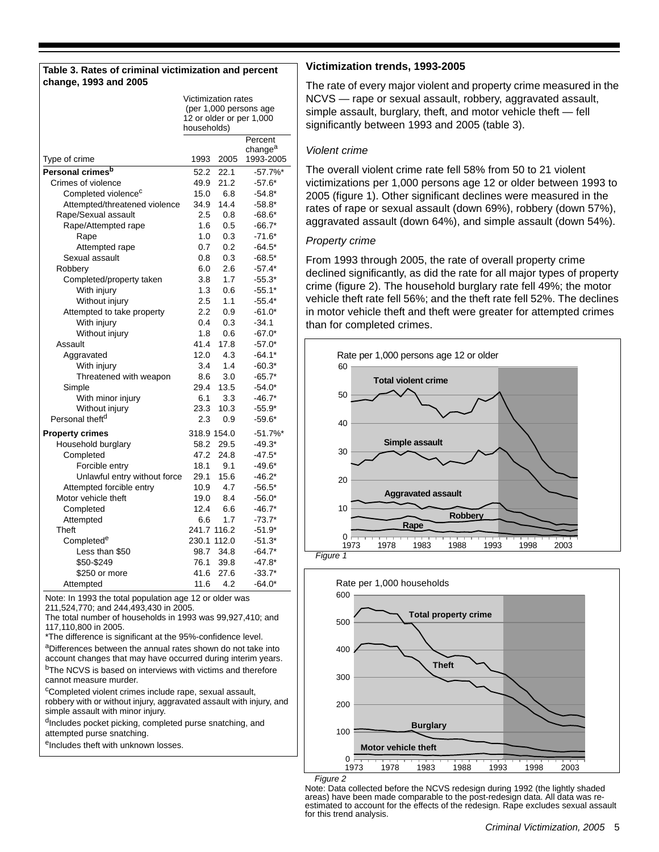#### **Table 3. Rates of criminal victimization and percent change, 1993 and 2005**

|                                 | Victimization rates    |       |                          |  |  |  |
|---------------------------------|------------------------|-------|--------------------------|--|--|--|
|                                 | (per 1,000 persons age |       |                          |  |  |  |
|                                 |                        |       | 12 or older or per 1,000 |  |  |  |
|                                 | households)            |       |                          |  |  |  |
|                                 |                        |       | Percent                  |  |  |  |
|                                 |                        |       | change <sup>a</sup>      |  |  |  |
| Type of crime                   | 1993                   | 2005  | 1993-2005                |  |  |  |
| Personal crimes <sup>b</sup>    | 52.2                   | 22.1  | $-57.7%$                 |  |  |  |
| Crimes of violence              | 49.9                   | 21.2  | $-57.6*$                 |  |  |  |
| Completed violence <sup>c</sup> | 15.0                   | 6.8   | $-54.8*$                 |  |  |  |
| Attempted/threatened violence   | 34.9                   | 14.4  | $-58.8*$                 |  |  |  |
| Rape/Sexual assault             | 2.5                    | 0.8   | $-68.6*$                 |  |  |  |
| Rape/Attempted rape             | 1.6                    | 0.5   | $-66.7*$                 |  |  |  |
| Rape                            | 1.0                    | 0.3   | $-71.6*$                 |  |  |  |
| Attempted rape                  | 0.7                    | 0.2   | $-64.5*$                 |  |  |  |
| Sexual assault                  | 0.8                    | 0.3   | $-68.5*$                 |  |  |  |
| Robbery                         | 6.0                    | 2.6   | $-57.4*$                 |  |  |  |
| Completed/property taken        | 3.8                    | 1.7   | $-55.3*$                 |  |  |  |
| With injury                     | 1.3                    | 0.6   | $-55.1*$                 |  |  |  |
| Without injury                  | 2.5                    | 1.1   | $-55.4*$                 |  |  |  |
| Attempted to take property      | 2.2                    | 0.9   | $-61.0*$                 |  |  |  |
| With injury                     | 0.4                    | 0.3   | $-34.1$                  |  |  |  |
| Without injury                  | 1.8                    | 0.6   | $-67.0*$                 |  |  |  |
| Assault                         | 41.4                   | 17.8  | $-57.0*$                 |  |  |  |
| Aggravated                      | 12.0                   | 4.3   | $-64.1*$                 |  |  |  |
| With injury                     | 3.4                    | 1.4   | $-60.3*$                 |  |  |  |
| Threatened with weapon          | 8.6                    | 3.0   | $-65.7*$                 |  |  |  |
| Simple                          | 29.4                   | 13.5  | $-54.0*$                 |  |  |  |
| With minor injury               | 6.1                    | 3.3   | $-46.7*$                 |  |  |  |
| Without injury                  | 23.3                   | 10.3  | $-55.9*$                 |  |  |  |
| Personal theft <sup>d</sup>     | 2.3                    | 0.9   | $-59.6*$                 |  |  |  |
| <b>Property crimes</b>          | 318.9 154.0            |       | $-51.7%$                 |  |  |  |
| Household burglary              | 58.2                   | 29.5  | $-49.3*$                 |  |  |  |
| Completed                       | 47.2                   | 24.8  | $-47.5*$                 |  |  |  |
| Forcible entry                  | 18.1                   | 9.1   | $-49.6*$                 |  |  |  |
| Unlawful entry without force    | 29.1                   | 15.6  | $-46.2*$                 |  |  |  |
| Attempted forcible entry        | 10.9                   | 4.7   | $-56.5*$                 |  |  |  |
| Motor vehicle theft             | 19.0                   | 8.4   | $-56.0*$                 |  |  |  |
| Completed                       | 12.4                   | 6.6   | $-46.7*$                 |  |  |  |
| Attempted                       | 6.6                    | 1.7   | $-73.7*$                 |  |  |  |
| Theft                           | 241.7 116.2            |       | $-51.9*$                 |  |  |  |
| Completed <sup>e</sup>          | 230.1                  | 112.0 | $-51.3*$                 |  |  |  |
| Less than \$50                  | 98.7                   | 34.8  | $-64.7*$                 |  |  |  |
| \$50-\$249                      | 76.1                   | 39.8  | $-47.8*$                 |  |  |  |
| \$250 or more                   | 41.6                   | 27.6  | $-33.7*$                 |  |  |  |
| Attempted                       | 11.6                   | 4.2   | $-64.0*$                 |  |  |  |
|                                 |                        |       |                          |  |  |  |

Note: In 1993 the total population age 12 or older was

211,524,770; and 244,493,430 in 2005.

The total number of households in 1993 was 99,927,410; and 117,110,800 in 2005.

\*The difference is significant at the 95%-confidence level.

aDifferences between the annual rates shown do not take into account changes that may have occurred during interim years. <sup>b</sup>The NCVS is based on interviews with victims and therefore cannot measure murder.

<sup>c</sup>Completed violent crimes include rape, sexual assault, robbery with or without injury, aggravated assault with injury, and

simple assault with minor injury.

<sup>d</sup>Includes pocket picking, completed purse snatching, and attempted purse snatching.

e<sub>Includes</sub> theft with unknown losses.

#### **Victimization trends, 1993-2005**

The rate of every major violent and property crime measured in the NCVS — rape or sexual assault, robbery, aggravated assault, simple assault, burglary, theft, and motor vehicle theft — fell significantly between 1993 and 2005 (table 3).

#### *Violent crime*

The overall violent crime rate fell 58% from 50 to 21 violent victimizations per 1,000 persons age 12 or older between 1993 to 2005 (figure 1). Other significant declines were measured in the rates of rape or sexual assault (down 69%), robbery (down 57%), aggravated assault (down 64%), and simple assault (down 54%).

#### *Property crime*

From 1993 through 2005, the rate of overall property crime declined significantly, as did the rate for all major types of property crime (figure 2). The household burglary rate fell 49%; the motor vehicle theft rate fell 56%; and the theft rate fell 52%. The declines in motor vehicle theft and theft were greater for attempted crimes than for completed crimes.





*Figure 2*

Note: Data collected before the NCVS redesign during 1992 (the lightly shaded areas) have been made comparable to the post-redesign data. All data was reestimated to account for the effects of the redesign. Rape excludes sexual assault for this trend analysis.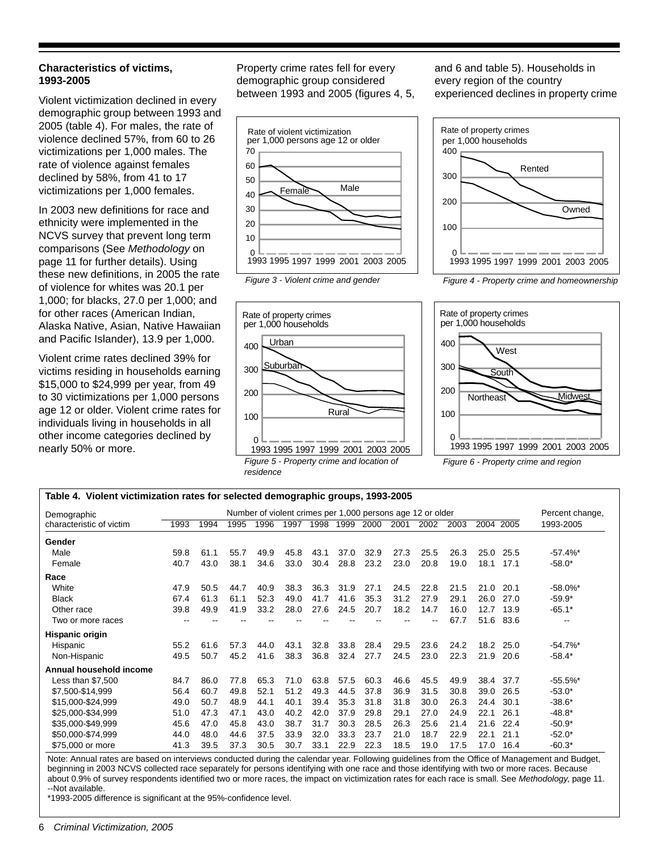# **Characteristics of victims, 1993-2005**

Violent victimization declined in every demographic group between 1993 and 2005 (table 4). For males, the rate of violence declined 57%, from 60 to 26 victimizations per 1,000 males. The rate of violence against females declined by 58%, from 41 to 17 victimizations per 1,000 females.

In 2003 new definitions for race and ethnicity were implemented in the NCVS survey that prevent long term comparisons (See *Methodology* on page 11 for further details). Using these new definitions, in 2005 the rate of violence for whites was 20.1 per 1,000; for blacks, 27.0 per 1,000; and for other races (American Indian, Alaska Native, Asian, Native Hawaiian and Pacific Islander), 13.9 per 1,000.

Violent crime rates declined 39% for victims residing in households earning \$15,000 to \$24,999 per year, from 49 to 30 victimizations per 1,000 persons age 12 or older. Violent crime rates for individuals living in households in all other income categories declined by nearly 50% or more.

Property crime rates fell for every demographic group considered between 1993 and 2005 (figures 4, 5,

*Figure 3 - Violent crime and gender* 0 1993 1995 1997 1999 2001 2003 2005 10 20 30  $40$ 50 60 70 Rate of violent victimization Female Male per 1,000 persons age 12 or older



and 6 and table 5). Households in every region of the country experienced declines in property crime







*Figure 6 - Property crime and region*

| Demographic              | Number of violent crimes per 1,000 persons age 12 or older |      |      |      |      |      |      |      | Percent change, |      |      |      |      |             |
|--------------------------|------------------------------------------------------------|------|------|------|------|------|------|------|-----------------|------|------|------|------|-------------|
| characteristic of victim | 1993                                                       | 1994 | 1995 | 1996 | 1997 | 1998 | 1999 | 2000 | 2001            | 2002 | 2003 | 2004 | 2005 | 1993-2005   |
| Gender                   |                                                            |      |      |      |      |      |      |      |                 |      |      |      |      |             |
| Male                     | 59.8                                                       | 61.1 | 55.7 | 49.9 | 45.8 | 43.1 | 37.0 | 32.9 | 27.3            | 25.5 | 26.3 | 25.0 | 25.5 | $-57.4%$ *  |
| Female                   | 40.7                                                       | 43.0 | 38.1 | 34.6 | 33.0 | 30.4 | 28.8 | 23.2 | 23.0            | 20.8 | 19.0 | 18.1 | 17.1 | $-58.0*$    |
| Race                     |                                                            |      |      |      |      |      |      |      |                 |      |      |      |      |             |
| White                    | 47.9                                                       | 50.5 | 44.7 | 40.9 | 38.3 | 36.3 | 31.9 | 27.1 | 24.5            | 22.8 | 21.5 | 21.0 | 20.1 | $-58.0\%$ * |
| <b>Black</b>             | 67.4                                                       | 61.3 | 61.1 | 52.3 | 49.0 | 41.7 | 41.6 | 35.3 | 31.2            | 27.9 | 29.1 | 26.0 | 27.0 | $-59.9*$    |
| Other race               | 39.8                                                       | 49.9 | 41.9 | 33.2 | 28.0 | 27.6 | 24.5 | 20.7 | 18.2            | 14.7 | 16.0 | 12.7 | 13.9 | $-65.1*$    |
| Two or more races        |                                                            |      |      |      |      |      |      |      |                 |      | 67.7 | 51.6 | 83.6 | --          |
| Hispanic origin          |                                                            |      |      |      |      |      |      |      |                 |      |      |      |      |             |
| Hispanic                 | 55.2                                                       | 61.6 | 57.3 | 44.0 | 43.1 | 32.8 | 33.8 | 28.4 | 29.5            | 23.6 | 24.2 | 18.2 | 25.0 | $-54.7\%$ * |
| Non-Hispanic             | 49.5                                                       | 50.7 | 45.2 | 41.6 | 38.3 | 36.8 | 32.4 | 27.7 | 24.5            | 23.0 | 22.3 | 21.9 | 20.6 | $-58.4*$    |
| Annual household income  |                                                            |      |      |      |      |      |      |      |                 |      |      |      |      |             |
| Less than \$7.500        | 84.7                                                       | 86.0 | 77.8 | 65.3 | 71.0 | 63.8 | 57.5 | 60.3 | 46.6            | 45.5 | 49.9 | 38.4 | 37.7 | $-55.5\%$ * |
| \$7,500-\$14,999         | 56.4                                                       | 60.7 | 49.8 | 52.1 | 51.2 | 49.3 | 44.5 | 37.8 | 36.9            | 31.5 | 30.8 | 39.0 | 26.5 | $-53.0*$    |
| \$15,000-\$24,999        | 49.0                                                       | 50.7 | 48.9 | 44.1 | 40.1 | 39.4 | 35.3 | 31.8 | 31.8            | 30.0 | 26.3 | 24.4 | 30.1 | $-38.6*$    |
| \$25,000-\$34,999        | 51.0                                                       | 47.3 | 47.1 | 43.0 | 40.2 | 42.0 | 37.9 | 29.8 | 29.1            | 27.0 | 24.9 | 22.1 | 26.1 | $-48.8*$    |
| \$35,000-\$49,999        | 45.6                                                       | 47.0 | 45.8 | 43.0 | 38.7 | 31.7 | 30.3 | 28.5 | 26.3            | 25.6 | 21.4 | 21.6 | 22.4 | $-50.9*$    |
| \$50,000-\$74,999        | 44.0                                                       | 48.0 | 44.6 | 37.5 | 33.9 | 32.0 | 33.3 | 23.7 | 21.0            | 18.7 | 22.9 | 22.1 | 21.1 | $-52.0*$    |
| \$75,000 or more         | 41.3                                                       | 39.5 | 37.3 | 30.5 | 30.7 | 33.1 | 22.9 | 22.3 | 18.5            | 19.0 | 17.5 | 17.0 | 16.4 | $-60.3*$    |

beginning in 2003 NCVS collected race separately for persons identifying with one race and those identifying with two or more races. Because about 0.9% of survey respondents identified two or more races, the impact on victimization rates for each race is small. See *Methodology*, page 11. --Not available.

\*1993-2005 difference is significant at the 95%-confidence level.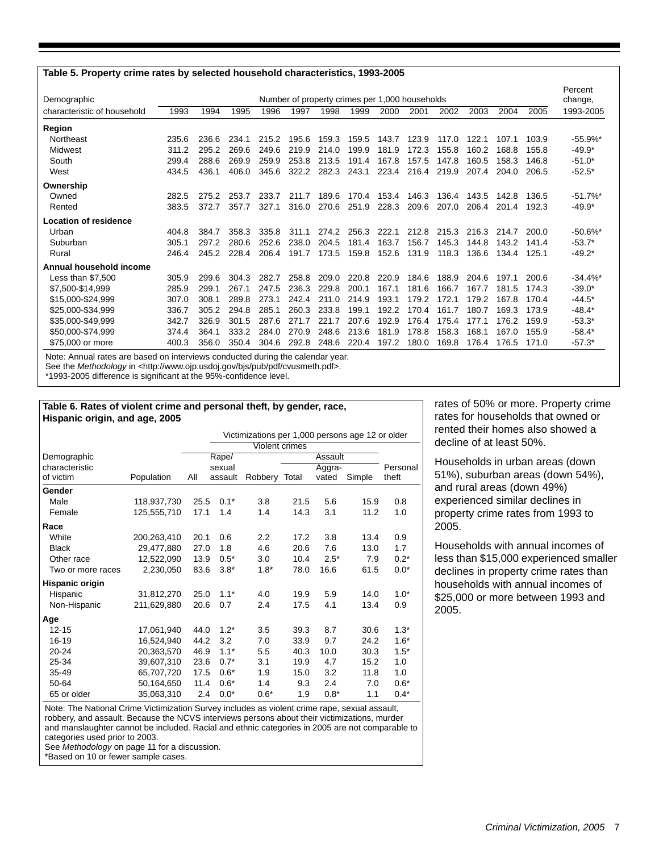#### **Table 5. Property crime rates by selected household characteristics, 1993-2005**

| Demographic                  |       |       |       |       |       | Number of property crimes per 1,000 households |       |       |       |       |       |       |       | Percent<br>change, |
|------------------------------|-------|-------|-------|-------|-------|------------------------------------------------|-------|-------|-------|-------|-------|-------|-------|--------------------|
| characteristic of household  | 1993  | 1994  | 1995  | 1996  | 1997  | 1998                                           | 1999  | 2000  | 2001  | 2002  | 2003  | 2004  | 2005  | 1993-2005          |
| Region                       |       |       |       |       |       |                                                |       |       |       |       |       |       |       |                    |
| Northeast                    | 235.6 | 236.6 | 234.1 | 215.2 | 195.6 | 159.3                                          | 159.5 | 143.7 | 123.9 | 117.0 | 122.1 | 107.1 | 103.9 | $-55.9%$ *         |
| Midwest                      | 311.2 | 295.2 | 269.6 | 249.6 | 219.9 | 214.0                                          | 199.9 | 181.9 | 172.3 | 155.8 | 160.2 | 168.8 | 155.8 | $-49.9*$           |
| South                        | 299.4 | 288.6 | 269.9 | 259.9 | 253.8 | 213.5                                          | 191.4 | 167.8 | 157.5 | 147.8 | 160.5 | 158.3 | 146.8 | $-51.0*$           |
| West                         | 434.5 | 436.1 | 406.0 | 345.6 | 322.2 | 282.3                                          | 243.1 | 223.4 | 216.4 | 219.9 | 207.4 | 204.0 | 206.5 | $-52.5*$           |
| Ownership                    |       |       |       |       |       |                                                |       |       |       |       |       |       |       |                    |
| Owned                        | 282.5 | 275.2 | 253.7 | 233.7 | 211.7 | 189.6                                          | 170.4 | 153.4 | 146.3 | 136.4 | 143.5 | 142.8 | 136.5 | $-51.7%$ *         |
| Rented                       | 383.5 | 372.7 | 357.7 | 327.1 | 316.0 | 270.6                                          | 251.9 | 228.3 | 209.6 | 207.0 | 206.4 | 201.4 | 192.3 | $-49.9*$           |
| <b>Location of residence</b> |       |       |       |       |       |                                                |       |       |       |       |       |       |       |                    |
| Urban                        | 404.8 | 384.7 | 358.3 | 335.8 | 311.1 | 274.2                                          | 256.3 | 222.1 | 212.8 | 215.3 | 216.3 | 214.7 | 200.0 | $-50.6\%$ *        |
| Suburban                     | 305.1 | 297.2 | 280.6 | 252.6 | 238.0 | 204.5                                          | 181.4 | 163.7 | 156.7 | 145.3 | 144.8 | 143.2 | 141.4 | $-53.7*$           |
| Rural                        | 246.4 | 245.2 | 228.4 | 206.4 | 191.7 | 173.5                                          | 159.8 | 152.6 | 131.9 | 118.3 | 136.6 | 134.4 | 125.1 | $-49.2*$           |
| Annual household income      |       |       |       |       |       |                                                |       |       |       |       |       |       |       |                    |
| Less than $$7,500$           | 305.9 | 299.6 | 304.3 | 282.7 | 258.8 | 209.0                                          | 220.8 | 220.9 | 184.6 | 188.9 | 204.6 | 197.1 | 200.6 | $-34.4%$ *         |
| \$7,500-\$14,999             | 285.9 | 299.1 | 267.1 | 247.5 | 236.3 | 229.8                                          | 200.1 | 167.1 | 181.6 | 166.7 | 167.7 | 181.5 | 174.3 | $-39.0*$           |
| \$15,000-\$24,999            | 307.0 | 308.1 | 289.8 | 273.1 | 242.4 | 211.0                                          | 214.9 | 193.1 | 179.2 | 172.1 | 179.2 | 167.8 | 170.4 | $-44.5*$           |
| \$25,000-\$34,999            | 336.7 | 305.2 | 294.8 | 285.1 | 260.3 | 233.8                                          | 199.1 | 192.2 | 170.4 | 161.7 | 180.7 | 169.3 | 173.9 | $-48.4*$           |
| \$35,000-\$49,999            | 342.7 | 326.9 | 301.5 | 287.6 | 271.7 | 221.7                                          | 207.6 | 192.9 | 176.4 | 175.4 | 177.1 | 176.2 | 159.9 | $-53.3*$           |
| \$50,000-\$74,999            | 374.4 | 364.1 | 333.2 | 284.0 | 270.9 | 248.6                                          | 213.6 | 181.9 | 178.8 | 158.3 | 168.1 | 167.0 | 155.9 | $-58.4*$           |
| \$75,000 or more             | 400.3 | 356.0 | 350.4 | 304.6 | 292.8 | 248.6                                          | 220.4 | 197.2 | 180.0 | 169.8 | 176.4 | 176.5 | 171.0 | $-57.3*$           |

Note: Annual rates are based on interviews conducted during the calendar year. See the *Methodology* in <http://www.ojp.usdoj.gov/bjs/pub/pdf/cvusmeth.pdf>.

\*1993-2005 difference is significant at the 95%-confidence level.

#### **Table 6. Rates of violent crime and personal theft, by gender, race, Hispanic origin, and age, 2005**

|                   |             | Victimizations per 1,000 persons age 12 or older |         |                |      |         |        |          |
|-------------------|-------------|--------------------------------------------------|---------|----------------|------|---------|--------|----------|
|                   |             |                                                  |         | Violent crimes |      |         |        |          |
| Demographic       |             |                                                  | Rape/   |                |      | Assault |        |          |
| characteristic    |             |                                                  | sexual  |                |      | Aggra-  |        | Personal |
| of victim         | Population  | All                                              | assault | Robbery Total  |      | vated   | Simple | theft    |
| Gender            |             |                                                  |         |                |      |         |        |          |
| Male              | 118,937,730 | 25.5                                             | $0.1*$  | 3.8            | 21.5 | 5.6     | 15.9   | 0.8      |
| Female            | 125,555,710 | 17.1                                             | 1.4     | 1.4            | 14.3 | 3.1     | 11.2   | 1.0      |
| Race              |             |                                                  |         |                |      |         |        |          |
| White             | 200,263,410 | 20.1                                             | 0.6     | 2.2            | 17.2 | 3.8     | 13.4   | 0.9      |
| <b>Black</b>      | 29,477,880  | 27.0                                             | 1.8     | 4.6            | 20.6 | 7.6     | 13.0   | 1.7      |
| Other race        | 12,522,090  | 13.9                                             | $0.5*$  | 3.0            | 10.4 | $2.5*$  | 7.9    | $0.2*$   |
| Two or more races | 2,230,050   | 83.6                                             | $3.8*$  | $1.8*$         | 78.0 | 16.6    | 61.5   | $0.0*$   |
| Hispanic origin   |             |                                                  |         |                |      |         |        |          |
| Hispanic          | 31,812,270  | 25.0                                             | $1.1*$  | 4.0            | 19.9 | 5.9     | 14.0   | $1.0*$   |
| Non-Hispanic      | 211,629,880 | 20.6                                             | 0.7     | 2.4            | 17.5 | 4.1     | 13.4   | 0.9      |
| Age               |             |                                                  |         |                |      |         |        |          |
| $12 - 15$         | 17,061,940  | 44.0                                             | $1.2*$  | 3.5            | 39.3 | 8.7     | 30.6   | $1.3*$   |
| $16 - 19$         | 16,524,940  | 44.2                                             | 3.2     | 7.0            | 33.9 | 9.7     | 24.2   | $1.6*$   |
| $20 - 24$         | 20,363,570  | 46.9                                             | $1.1*$  | 5.5            | 40.3 | 10.0    | 30.3   | $1.5*$   |
| 25-34             | 39,607,310  | 23.6                                             | $0.7*$  | 3.1            | 19.9 | 4.7     | 15.2   | 1.0      |
| 35-49             | 65,707,720  | 17.5                                             | $0.6*$  | 1.9            | 15.0 | 3.2     | 11.8   | 1.0      |
| 50-64             | 50,164,650  | 11.4                                             | $0.6*$  | 1.4            | 9.3  | 2.4     | 7.0    | $0.6*$   |
| 65 or older       | 35,063,310  | 2.4                                              | $0.0*$  | $0.6*$         | 1.9  | $0.8*$  | 1.1    | $0.4*$   |

Note: The National Crime Victimization Survey includes as violent crime rape, sexual assault, robbery, and assault. Because the NCVS interviews persons about their victimizations, murder and manslaughter cannot be included. Racial and ethnic categories in 2005 are not comparable to categories used prior to 2003.

See *Methodology* on page 11 for a discussion.

\*Based on 10 or fewer sample cases.

rates of 50% or more. Property crime rates for households that owned or rented their homes also showed a decline of at least 50%.

Households in urban areas (down 51%), suburban areas (down 54%), and rural areas (down 49%) experienced similar declines in property crime rates from 1993 to 2005.

Households with annual incomes of less than \$15,000 experienced smaller declines in property crime rates than households with annual incomes of \$25,000 or more between 1993 and 2005.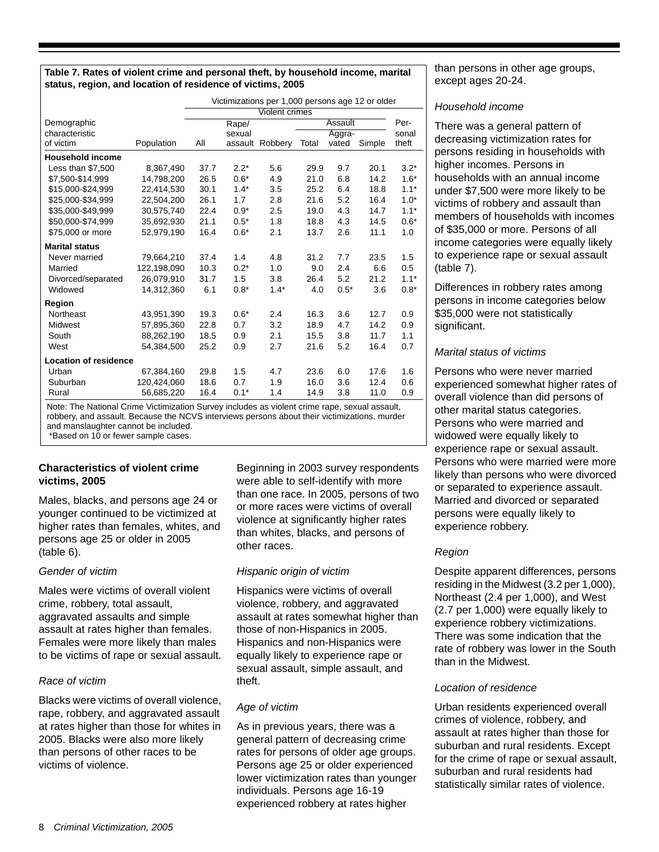#### **Table 7. Rates of violent crime and personal theft, by household income, marital status, region, and location of residence of victims, 2005**

|                              |             | Victimizations per 1,000 persons age 12 or older |        |                 |       |         |        |        |
|------------------------------|-------------|--------------------------------------------------|--------|-----------------|-------|---------|--------|--------|
|                              |             | Violent crimes                                   |        |                 |       |         |        |        |
| Demographic                  |             |                                                  | Rape/  |                 |       | Assault |        | Per-   |
| characteristic               |             |                                                  | sexual |                 |       | Aggra-  |        | sonal  |
| of victim                    | Population  | All                                              |        | assault Robbery | Total | vated   | Simple | theft  |
| <b>Household income</b>      |             |                                                  |        |                 |       |         |        |        |
| Less than \$7,500            | 8,367,490   | 37.7                                             | $2.2*$ | 5.6             | 29.9  | 9.7     | 20.1   | $3.2*$ |
| \$7,500-\$14,999             | 14,798,200  | 26.5                                             | $0.6*$ | 4.9             | 21.0  | 6.8     | 14.2   | $1.6*$ |
| \$15,000-\$24,999            | 22,414,530  | 30.1                                             | $1.4*$ | 3.5             | 25.2  | 6.4     | 18.8   | $1.1*$ |
| \$25.000-\$34.999            | 22,504,200  | 26.1                                             | 1.7    | 2.8             | 21.6  | 5.2     | 16.4   | $1.0*$ |
| \$35,000-\$49,999            | 30,575,740  | 22.4                                             | $0.9*$ | 2.5             | 19.0  | 4.3     | 14.7   | $1.1*$ |
| \$50,000-\$74,999            | 35,692,930  | 21.1                                             | $0.5*$ | 1.8             | 18.8  | 4.3     | 14.5   | $0.6*$ |
| \$75,000 or more             | 52,979,190  | 16.4                                             | $0.6*$ | 2.1             | 13.7  | 2.6     | 11.1   | 1.0    |
| <b>Marital status</b>        |             |                                                  |        |                 |       |         |        |        |
| Never married                | 79,664,210  | 37.4                                             | 1.4    | 4.8             | 31.2  | 7.7     | 23.5   | 1.5    |
| Married                      | 122,198,090 | 10.3                                             | $0.2*$ | 1.0             | 9.0   | 2.4     | 6.6    | 0.5    |
| Divorced/separated           | 26,079,910  | 31.7                                             | 1.5    | 3.8             | 26.4  | 5.2     | 21.2   | $1.1*$ |
| Widowed                      | 14,312,360  | 6.1                                              | $0.8*$ | $1.4*$          | 4.0   | $0.5*$  | 3.6    | $0.8*$ |
| Region                       |             |                                                  |        |                 |       |         |        |        |
| Northeast                    | 43,951,390  | 19.3                                             | $0.6*$ | 2.4             | 16.3  | 3.6     | 12.7   | 0.9    |
| Midwest                      | 57,895,360  | 22.8                                             | 0.7    | 3.2             | 18.9  | 4.7     | 14.2   | 0.9    |
| South                        | 88,262,190  | 18.5                                             | 0.9    | 2.1             | 15.5  | 3.8     | 11.7   | 1.1    |
| West                         | 54,384,500  | 25.2                                             | 0.9    | 2.7             | 21.6  | 5.2     | 16.4   | 0.7    |
| <b>Location of residence</b> |             |                                                  |        |                 |       |         |        |        |
| Urban                        | 67,384,160  | 29.8                                             | 1.5    | 4.7             | 23.6  | 6.0     | 17.6   | 1.6    |
| Suburban                     | 120,424,060 | 18.6                                             | 0.7    | 1.9             | 16.0  | 3.6     | 12.4   | 0.6    |
| Rural                        | 56,685,220  | 16.4                                             | $0.1*$ | 1.4             | 14.9  | 3.8     | 11.0   | 0.9    |

Note: The National Crime Victimization Survey includes as violent crime rape, sexual assault, robbery, and assault. Because the NCVS interviews persons about their victimizations, murder and manslaughter cannot be included.

\*Based on 10 or fewer sample cases.

# **Characteristics of violent crime victims, 2005**

Males, blacks, and persons age 24 or younger continued to be victimized at higher rates than females, whites, and persons age 25 or older in 2005 (table 6).

# *Gender of victim*

Males were victims of overall violent crime, robbery, total assault, aggravated assaults and simple assault at rates higher than females. Females were more likely than males to be victims of rape or sexual assault.

# *Race of victim*

Blacks were victims of overall violence, rape, robbery, and aggravated assault at rates higher than those for whites in 2005. Blacks were also more likely than persons of other races to be victims of violence.

Beginning in 2003 survey respondents were able to self-identify with more than one race. In 2005, persons of two or more races were victims of overall violence at significantly higher rates than whites, blacks, and persons of other races.

# *Hispanic origin of victim*

Hispanics were victims of overall violence, robbery, and aggravated assault at rates somewhat higher than those of non-Hispanics in 2005. Hispanics and non-Hispanics were equally likely to experience rape or sexual assault, simple assault, and theft.

# *Age of victim*

As in previous years, there was a general pattern of decreasing crime rates for persons of older age groups. Persons age 25 or older experienced lower victimization rates than younger individuals. Persons age 16-19 experienced robbery at rates higher

than persons in other age groups, except ages 20-24.

#### *Household income*

There was a general pattern of decreasing victimization rates for persons residing in households with higher incomes. Persons in households with an annual income under \$7,500 were more likely to be victims of robbery and assault than members of households with incomes of \$35,000 or more. Persons of all income categories were equally likely to experience rape or sexual assault (table 7).

Differences in robbery rates among persons in income categories below \$35,000 were not statistically significant.

# *Marital status of victims*

Persons who were never married experienced somewhat higher rates of overall violence than did persons of other marital status categories. Persons who were married and widowed were equally likely to experience rape or sexual assault. Persons who were married were more likely than persons who were divorced or separated to experience assault. Married and divorced or separated persons were equally likely to experience robbery.

# *Region*

Despite apparent differences, persons residing in the Midwest (3.2 per 1,000), Northeast (2.4 per 1,000), and West (2.7 per 1,000) were equally likely to experience robbery victimizations. There was some indication that the rate of robbery was lower in the South than in the Midwest.

# *Location of residence*

Urban residents experienced overall crimes of violence, robbery, and assault at rates higher than those for suburban and rural residents. Except for the crime of rape or sexual assault, suburban and rural residents had statistically similar rates of violence.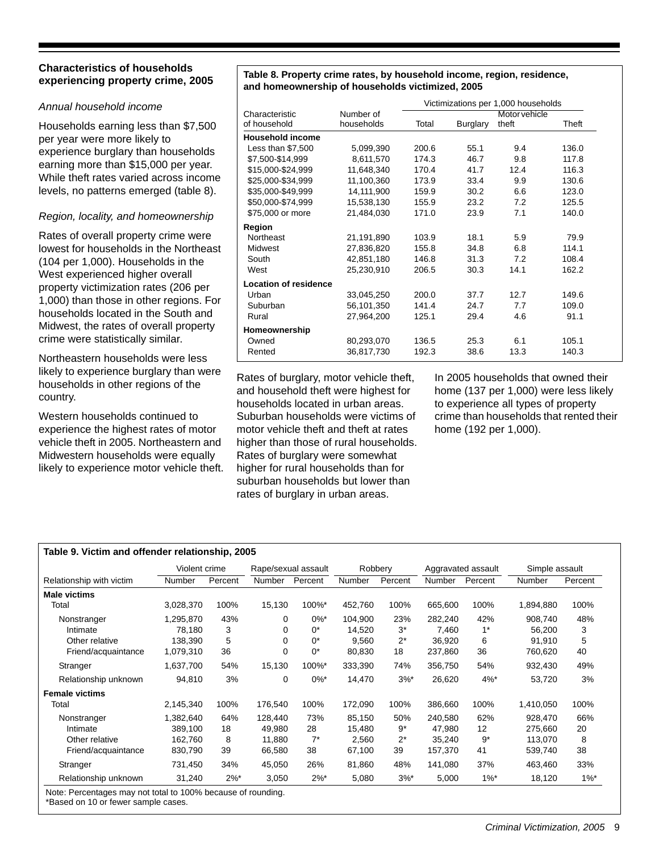# **Characteristics of households experiencing property crime, 2005**

# *Annual household income*

Households earning less than \$7,500 per year were more likely to experience burglary than households earning more than \$15,000 per year. While theft rates varied across income levels, no patterns emerged (table 8).

# *Region, locality, and homeownership*

Rates of overall property crime were lowest for households in the Northeast (104 per 1,000). Households in the West experienced higher overall property victimization rates (206 per 1,000) than those in other regions. For households located in the South and Midwest, the rates of overall property crime were statistically similar.

Northeastern households were less likely to experience burglary than were households in other regions of the country.

Western households continued to experience the highest rates of motor vehicle theft in 2005. Northeastern and Midwestern households were equally likely to experience motor vehicle theft.

## **Table 8. Property crime rates, by household income, region, residence, and homeownership of households victimized, 2005**

|                              |            |       |                 | Victimizations per 1,000 households |       |
|------------------------------|------------|-------|-----------------|-------------------------------------|-------|
| Characteristic               | Number of  |       |                 | Motor vehicle                       |       |
| of household                 | households | Total | <b>Burglary</b> | theft                               | Theft |
| <b>Household income</b>      |            |       |                 |                                     |       |
| Less than \$7,500            | 5,099,390  | 200.6 | 55.1            | 9.4                                 | 136.0 |
| \$7,500-\$14,999             | 8,611,570  | 174.3 | 46.7            | 9.8                                 | 117.8 |
| \$15,000-\$24,999            | 11,648,340 | 170.4 | 41.7            | 12.4                                | 116.3 |
| \$25,000-\$34,999            | 11,100,360 | 173.9 | 33.4            | 9.9                                 | 130.6 |
| \$35,000-\$49,999            | 14,111,900 | 159.9 | 30.2            | 6.6                                 | 123.0 |
| \$50,000-\$74,999            | 15,538,130 | 155.9 | 23.2            | 7.2                                 | 125.5 |
| \$75,000 or more             | 21,484,030 | 171.0 | 23.9            | 7.1                                 | 140.0 |
| Region                       |            |       |                 |                                     |       |
| Northeast                    | 21,191,890 | 103.9 | 18.1            | 5.9                                 | 79.9  |
| Midwest                      | 27,836,820 | 155.8 | 34.8            | 6.8                                 | 114.1 |
| South                        | 42,851,180 | 146.8 | 31.3            | 7.2                                 | 108.4 |
| West                         | 25,230,910 | 206.5 | 30.3            | 14.1                                | 162.2 |
| <b>Location of residence</b> |            |       |                 |                                     |       |
| Urban                        | 33,045,250 | 200.0 | 37.7            | 12.7                                | 149.6 |
| Suburban                     | 56,101,350 | 141.4 | 24.7            | 7.7                                 | 109.0 |
| Rural                        | 27,964,200 | 125.1 | 29.4            | 4.6                                 | 91.1  |
| Homeownership                |            |       |                 |                                     |       |
| Owned                        | 80,293,070 | 136.5 | 25.3            | 6.1                                 | 105.1 |
| Rented                       | 36,817,730 | 192.3 | 38.6            | 13.3                                | 140.3 |

Rates of burglary, motor vehicle theft, and household theft were highest for households located in urban areas. Suburban households were victims of motor vehicle theft and theft at rates higher than those of rural households. Rates of burglary were somewhat higher for rural households than for suburban households but lower than rates of burglary in urban areas.

In 2005 households that owned their home (137 per 1,000) were less likely to experience all types of property crime than households that rented their home (192 per 1,000).

|                          |           | Violent crime |          | Rape/sexual assault |         | Robbery |         | Aggravated assault |           | Simple assault     |  |
|--------------------------|-----------|---------------|----------|---------------------|---------|---------|---------|--------------------|-----------|--------------------|--|
| Relationship with victim | Number    | Percent       | Number   | Percent             | Number  | Percent | Number  | Percent            | Number    | Percent            |  |
| <b>Male victims</b>      |           |               |          |                     |         |         |         |                    |           |                    |  |
| Total                    | 3,028,370 | 100%          | 15,130   | 100%*               | 452,760 | 100%    | 665,600 | 100%               | 1,894,880 | 100%               |  |
| Nonstranger              | 1,295,870 | 43%           | 0        | $0\%$ *             | 104,900 | 23%     | 282,240 | 42%                | 908,740   | 48%                |  |
| Intimate                 | 78,180    | 3             | $\Omega$ | $0^*$               | 14,520  | $3^*$   | 7,460   | $1^*$              | 56,200    | 3                  |  |
| Other relative           | 138,390   | 5             | 0        | $0^*$               | 9,560   | $2^*$   | 36,920  | 6                  | 91,910    | 5                  |  |
| Friend/acquaintance      | 1,079,310 | 36            | $\Omega$ | $0^*$               | 80,830  | 18      | 237,860 | 36                 | 760,620   | 40                 |  |
| Stranger                 | 1,637,700 | 54%           | 15,130   | 100%*               | 333,390 | 74%     | 356,750 | 54%                | 932,430   | 49%                |  |
| Relationship unknown     | 94,810    | 3%            | $\Omega$ | $0\%$ *             | 14,470  | $3%^*$  | 26,620  | $4%$ *             | 53,720    | 3%                 |  |
| <b>Female victims</b>    |           |               |          |                     |         |         |         |                    |           |                    |  |
| Total                    | 2,145,340 | 100%          | 176,540  | 100%                | 172,090 | 100%    | 386,660 | 100%               | 1,410,050 | 100%               |  |
| Nonstranger              | 1,382,640 | 64%           | 128,440  | 73%                 | 85,150  | 50%     | 240,580 | 62%                | 928,470   | 66%                |  |
| Intimate                 | 389,100   | 18            | 49,980   | 28                  | 15,480  | $9^*$   | 47,980  | 12                 | 275,660   | 20                 |  |
| Other relative           | 162,760   | 8             | 11,880   | $7^*$               | 2,560   | $2^*$   | 35,240  | $9*$               | 113,070   | 8                  |  |
| Friend/acquaintance      | 830,790   | 39            | 66,580   | 38                  | 67,100  | 39      | 157,370 | 41                 | 539,740   | 38                 |  |
| Stranger                 | 731,450   | 34%           | 45,050   | 26%                 | 81,860  | 48%     | 141,080 | 37%                | 463,460   | 33%                |  |
| Relationship unknown     | 31,240    | $2\%$ *       | 3,050    | $2\%$ *             | 5,080   | $3%^*$  | 5,000   | $1\%$ *            | 18,120    | $1\%$ <sup>*</sup> |  |

Note: Percentages may not total to 100% because of rounding. \*Based on 10 or fewer sample cases.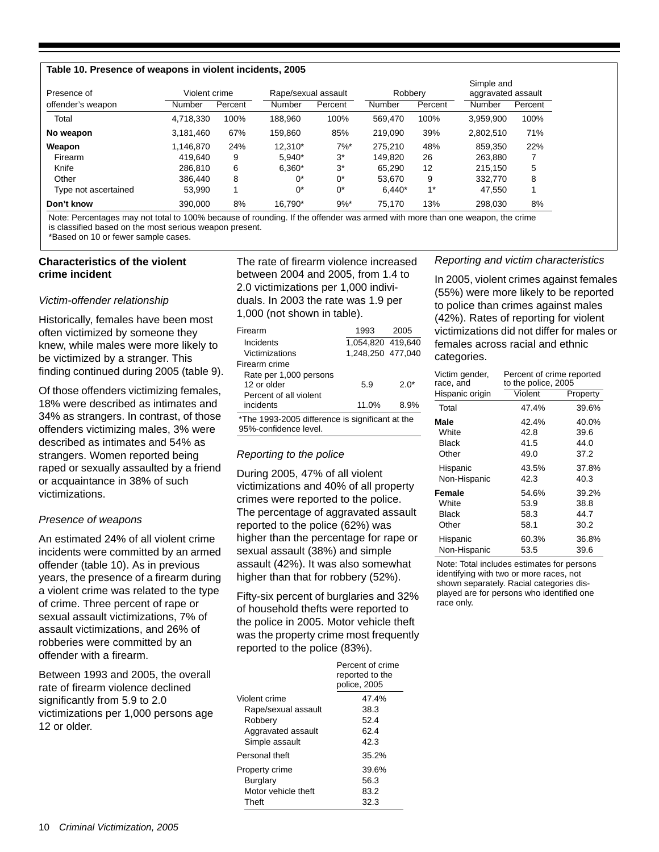#### **Table 10. Presence of weapons in violent incidents, 2005**

| Presence of          | Violent crime |         |          | Rape/sexual assault | Robbery  |         | Simple and<br>aggravated assault |         |
|----------------------|---------------|---------|----------|---------------------|----------|---------|----------------------------------|---------|
| offender's weapon    | Number        | Percent | Number   | Percent             | Number   | Percent | Number                           | Percent |
| Total                | 4,718,330     | 100%    | 188,960  | 100%                | 569,470  | 100%    | 3,959,900                        | 100%    |
| No weapon            | 3,181,460     | 67%     | 159,860  | 85%                 | 219,090  | 39%     | 2,802,510                        | 71%     |
| Weapon               | 1.146.870     | 24%     | 12.310*  | 7%*                 | 275.210  | 48%     | 859.350                          | 22%     |
| Firearm              | 419.640       | 9       | $5.940*$ | $3^*$               | 149.820  | 26      | 263.880                          |         |
| Knife                | 286.810       | 6       | $6.360*$ | $3^*$               | 65.290   | 12      | 215.150                          | 5       |
| Other                | 386.440       | 8       | 0*       | 0*                  | 53.670   | 9       | 332,770                          | 8       |
| Type not ascertained | 53,990        |         | 0*       | 0*                  | $6.440*$ | $1^*$   | 47.550                           |         |
| Don't know           | 390.000       | 8%      | 16.790*  | $9%^*$              | 75.170   | 13%     | 298.030                          | 8%      |

Note: Percentages may not total to 100% because of rounding. If the offender was armed with more than one weapon, the crime is classified based on the most serious weapon present.

\*Based on 10 or fewer sample cases.

# **Characteristics of the violent crime incident**

#### *Victim-offender relationship*

Historically, females have been most often victimized by someone they knew, while males were more likely to be victimized by a stranger. This finding continued during 2005 (table 9).

Of those offenders victimizing females, 18% were described as intimates and 34% as strangers. In contrast, of those offenders victimizing males, 3% were described as intimates and 54% as strangers. Women reported being raped or sexually assaulted by a friend or acquaintance in 38% of such victimizations.

# *Presence of weapons*

An estimated 24% of all violent crime incidents were committed by an armed offender (table 10). As in previous years, the presence of a firearm during a violent crime was related to the type of crime. Three percent of rape or sexual assault victimizations, 7% of assault victimizations, and 26% of robberies were committed by an offender with a firearm.

Between 1993 and 2005, the overall rate of firearm violence declined significantly from 5.9 to 2.0 victimizations per 1,000 persons age 12 or older.

The rate of firearm violence increased between 2004 and 2005, from 1.4 to 2.0 victimizations per 1,000 individuals. In 2003 the rate was 1.9 per 1,000 (not shown in table).

| Firearm                                         | 1993              | 2005   |  |  |  |  |
|-------------------------------------------------|-------------------|--------|--|--|--|--|
| Incidents                                       | 1,054,820 419,640 |        |  |  |  |  |
| Victimizations                                  | 1,248,250 477,040 |        |  |  |  |  |
| Firearm crime                                   |                   |        |  |  |  |  |
| Rate per 1,000 persons                          |                   |        |  |  |  |  |
| 12 or older                                     | 5.9               | $2.0*$ |  |  |  |  |
| Percent of all violent                          |                   |        |  |  |  |  |
| incidents                                       | 11.0%             | 8.9%   |  |  |  |  |
| *The 1993-2005 difference is significant at the |                   |        |  |  |  |  |
| 95%-confidence level.                           |                   |        |  |  |  |  |

# *Reporting to the police*

During 2005, 47% of all violent victimizations and 40% of all property crimes were reported to the police. The percentage of aggravated assault reported to the police (62%) was higher than the percentage for rape or sexual assault (38%) and simple assault (42%). It was also somewhat higher than that for robbery (52%).

Fifty-six percent of burglaries and 32% of household thefts were reported to the police in 2005. Motor vehicle theft was the property crime most frequently reported to the police (83%).

|                     | Percent of crime<br>reported to the<br>police, 2005 |
|---------------------|-----------------------------------------------------|
| Violent crime       | 47.4%                                               |
| Rape/sexual assault | 38.3                                                |
| Robbery             | 52.4                                                |
| Aggravated assault  | 62.4                                                |
| Simple assault      | 42.3                                                |
| Personal theft      | 35.2%                                               |
| Property crime      | 39.6%                                               |
| Burglary            | 56.3                                                |
| Motor vehicle theft | 83.2                                                |
| Theft               | 32.3                                                |

*Reporting and victim characteristics*

In 2005, violent crimes against females (55%) were more likely to be reported to police than crimes against males (42%). Rates of reporting for violent victimizations did not differ for males or females across racial and ethnic categories.

| Victim gender,<br>race, and | Percent of crime reported<br>to the police, 2005 |          |
|-----------------------------|--------------------------------------------------|----------|
| Hispanic origin             | Violent                                          | Property |
| Total                       | 47.4%                                            | 39.6%    |
| Male                        | 42.4%                                            | 40.0%    |
| White                       | 42.8                                             | 39.6     |
| Black                       | 41.5                                             | 44.0     |
| Other                       | 49.0                                             | 37.2     |
| Hispanic                    | 43.5%                                            | 37.8%    |
| Non-Hispanic                | 42.3                                             | 40.3     |
| Female                      | 54.6%                                            | 39.2%    |
| White                       | 53.9                                             | 38.8     |
| Black                       | 58.3                                             | 44.7     |
| Other                       | 58.1                                             | 30.2     |
| Hispanic                    | 60.3%                                            | 36.8%    |
| Non-Hispanic                | 53.5                                             | 39.6     |

Note: Total includes estimates for persons identifying with two or more races, not shown separately. Racial categories displayed are for persons who identified one race only.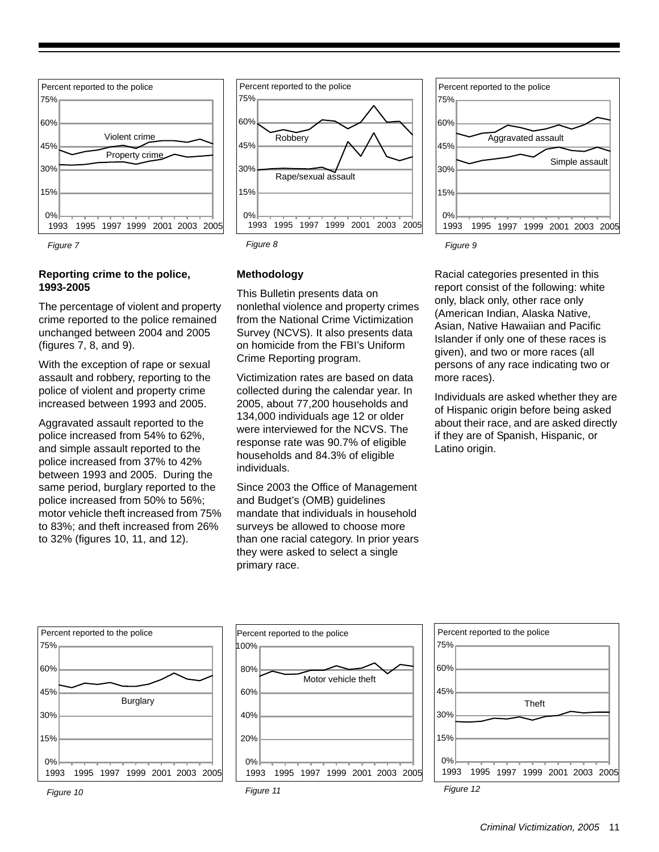



# **Reporting crime to the police, 1993-2005**

The percentage of violent and property crime reported to the police remained unchanged between 2004 and 2005 (figures 7, 8, and 9).

With the exception of rape or sexual assault and robbery, reporting to the police of violent and property crime increased between 1993 and 2005.

Aggravated assault reported to the police increased from 54% to 62%, and simple assault reported to the police increased from 37% to 42% between 1993 and 2005. During the same period, burglary reported to the police increased from 50% to 56%; motor vehicle theft increased from 75% to 83%; and theft increased from 26% to 32% (figures 10, 11, and 12).





# **Methodology**

This Bulletin presents data on nonlethal violence and property crimes from the National Crime Victimization Survey (NCVS). It also presents data on homicide from the FBI's Uniform Crime Reporting program.

Victimization rates are based on data collected during the calendar year. In 2005, about 77,200 households and 134,000 individuals age 12 or older were interviewed for the NCVS. The response rate was 90.7% of eligible households and 84.3% of eligible individuals.

Since 2003 the Office of Management and Budget's (OMB) guidelines mandate that individuals in household surveys be allowed to choose more than one racial category. In prior years they were asked to select a single primary race.





Racial categories presented in this report consist of the following: white only, black only, other race only (American Indian, Alaska Native, Asian, Native Hawaiian and Pacific Islander if only one of these races is given), and two or more races (all persons of any race indicating two or more races).

Individuals are asked whether they are of Hispanic origin before being asked about their race, and are asked directly if they are of Spanish, Hispanic, or Latino origin.